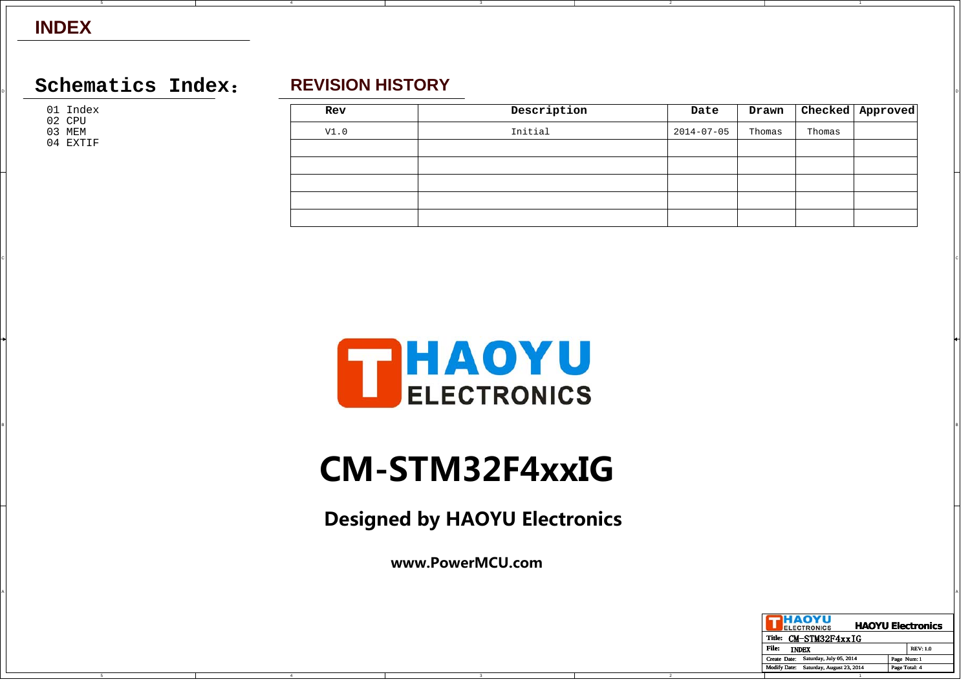## **INDEX**

## $\Box$  Schematics Index: REVISION HISTORY **REVISION HISTORY**

01 Index

02 CPU

03 MEM 04 EXTIF

C

B

A

## **REVISION HISTORY**

| Rev  | Description | Date             | Drawn  |        | Checked   Approved |
|------|-------------|------------------|--------|--------|--------------------|
| V1.0 | Initial     | $2014 - 07 - 05$ | Thomas | Thomas |                    |
|      |             |                  |        |        |                    |
|      |             |                  |        |        |                    |
|      |             |                  |        |        |                    |
|      |             |                  |        |        |                    |
|      |             |                  |        |        |                    |

2



CIL AND A REPORT OF THE RESERVE OF THE RESERVE OF THE RESERVE OF THE RESERVE OF THE RESERVE OF THE RESERVE OF THE RESERVE OF THE RESERVE OF THE RESERVE OF THE RESERVE OF THE RESERVE OF THE RESERVE OF THE RESERVE OF THE RES

# **CM-STM32F4xxIG**

BI<br>BI

**Designed by HAOYU Electronics**

**www.PowerMCU.com**

A

4

| IHAOYU<br><b>ELECTRONICS</b>                     |               | <b>HAOYU Electronics</b> |
|--------------------------------------------------|---------------|--------------------------|
| CM-STM32F4xxIG<br>Title:                         |               |                          |
| File:<br><b>INDEX</b>                            |               | <b>REV: 1.0</b>          |
| Saturday, July 05, 2014<br>Create Date:          | Page Num: 1   |                          |
| Saturday, August 23, 2014<br><b>Modify Date:</b> | Page Total: 4 |                          |
|                                                  |               |                          |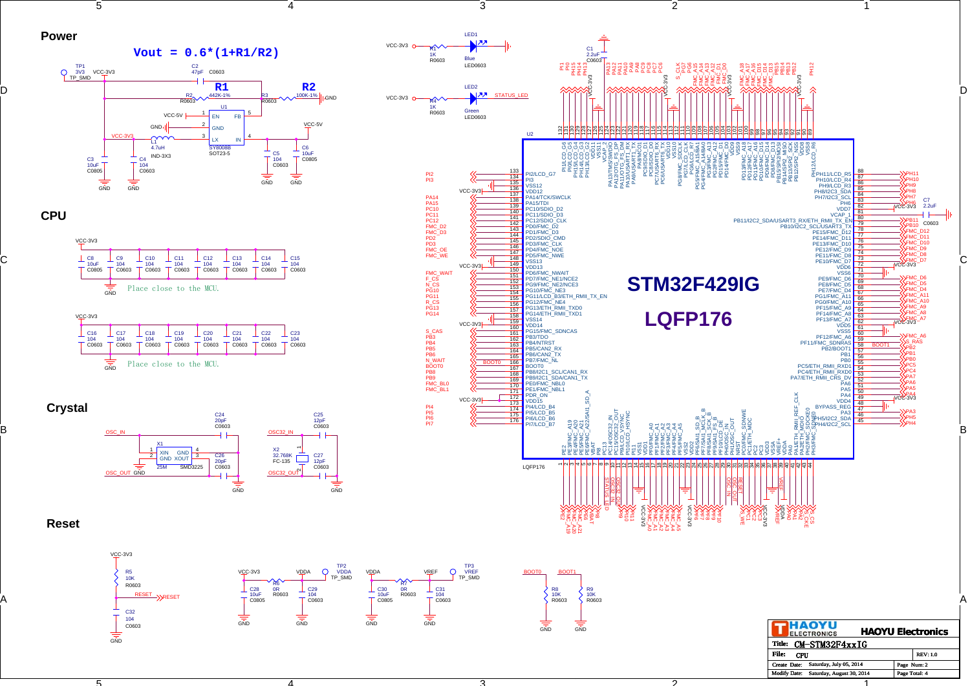



D

C

B

A













4

 $\frac{1}{\sin D}$ 

VCC-3V3

C28 10uFC0805 R6 0RR0603





ኅ

2

1

1

Modify Date: Saturday, August 30, 2014 Page Total:

Page Num: 2

4

3

ว

RESET

C32 104 C0603 RESET

VCC-3V3

R5 10KR0603

GND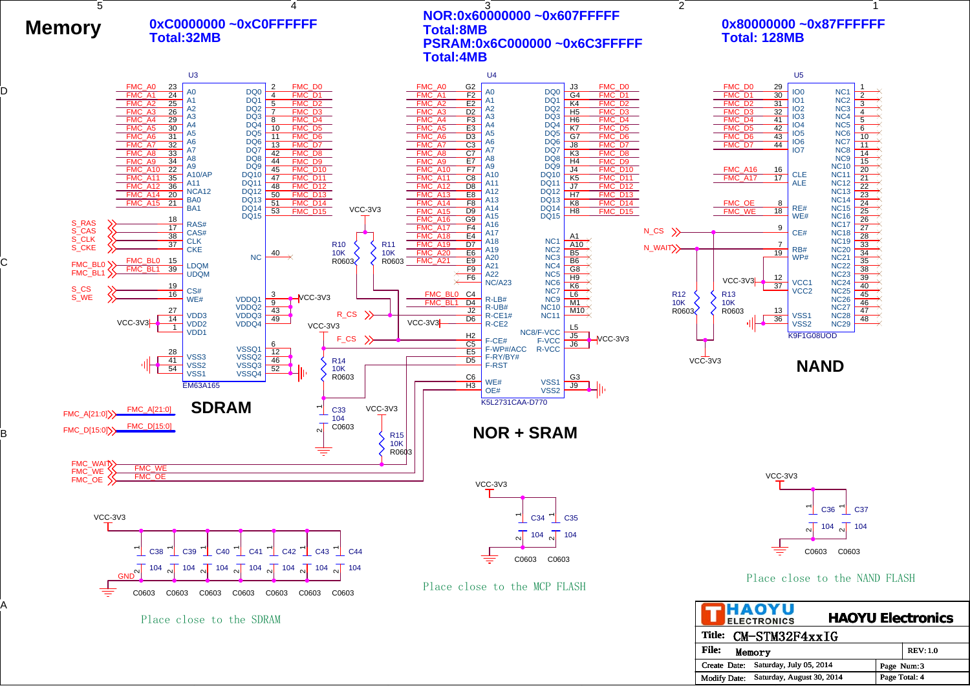

D

C

B

A

#### Place close to the NAND FLASH

**HAOYU Electronics ELECTRONICS Title:** CM-STM32F4xxIG **File:** Memory REV: 1.0 Create Date: Saturday, July 05, 2014 Page Num: 3 Modify Date: Saturday, August 30, 2014 | Page Total: 4